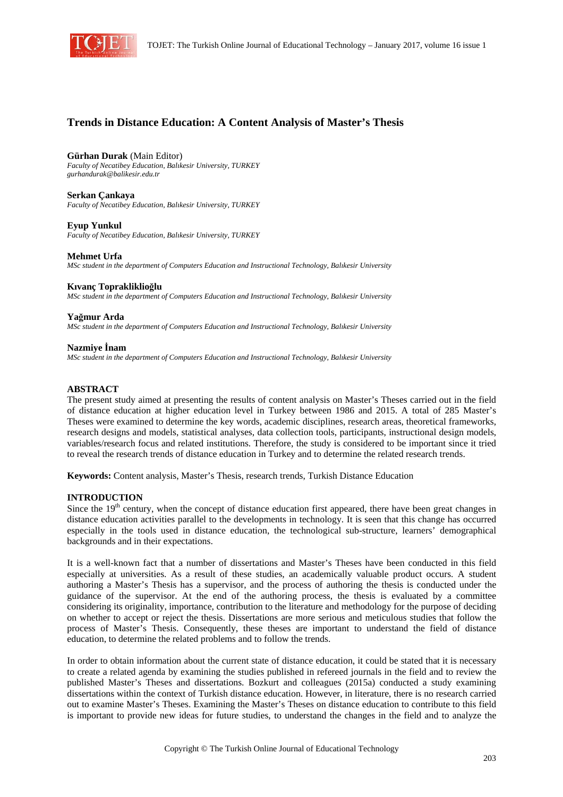

# **Trends in Distance Education: A Content Analysis of Master's Thesis**

**Gürhan Durak** (Main Editor) *Faculty of Necatibey Education, Balıkesir University, TURKEY gurhandurak@balikesir.edu.tr* 

**Serkan Çankaya**  *Faculty of Necatibey Education, Balıkesir University, TURKEY* 

**Eyup Yunkul**  *Faculty of Necatibey Education, Balıkesir University, TURKEY* 

**Mehmet Urfa** 

*MSc student in the department of Computers Education and Instructional Technology, Balıkesir University* 

**Kıvanç Toprakliklioğlu** 

*MSc student in the department of Computers Education and Instructional Technology, Balıkesir University* 

**Yağmur Arda** 

*MSc student in the department of Computers Education and Instructional Technology, Balıkesir University* 

**Nazmiye İnam** 

*MSc student in the department of Computers Education and Instructional Technology, Balıkesir University* 

## **ABSTRACT**

The present study aimed at presenting the results of content analysis on Master's Theses carried out in the field of distance education at higher education level in Turkey between 1986 and 2015. A total of 285 Master's Theses were examined to determine the key words, academic disciplines, research areas, theoretical frameworks, research designs and models, statistical analyses, data collection tools, participants, instructional design models, variables/research focus and related institutions. Therefore, the study is considered to be important since it tried to reveal the research trends of distance education in Turkey and to determine the related research trends.

**Keywords:** Content analysis, Master's Thesis, research trends, Turkish Distance Education

#### **INTRODUCTION**

Since the  $19<sup>th</sup>$  century, when the concept of distance education first appeared, there have been great changes in distance education activities parallel to the developments in technology. It is seen that this change has occurred especially in the tools used in distance education, the technological sub-structure, learners' demographical backgrounds and in their expectations.

It is a well-known fact that a number of dissertations and Master's Theses have been conducted in this field especially at universities. As a result of these studies, an academically valuable product occurs. A student authoring a Master's Thesis has a supervisor, and the process of authoring the thesis is conducted under the guidance of the supervisor. At the end of the authoring process, the thesis is evaluated by a committee considering its originality, importance, contribution to the literature and methodology for the purpose of deciding on whether to accept or reject the thesis. Dissertations are more serious and meticulous studies that follow the process of Master's Thesis. Consequently, these theses are important to understand the field of distance education, to determine the related problems and to follow the trends.

In order to obtain information about the current state of distance education, it could be stated that it is necessary to create a related agenda by examining the studies published in refereed journals in the field and to review the published Master's Theses and dissertations. Bozkurt and colleagues (2015a) conducted a study examining dissertations within the context of Turkish distance education. However, in literature, there is no research carried out to examine Master's Theses. Examining the Master's Theses on distance education to contribute to this field is important to provide new ideas for future studies, to understand the changes in the field and to analyze the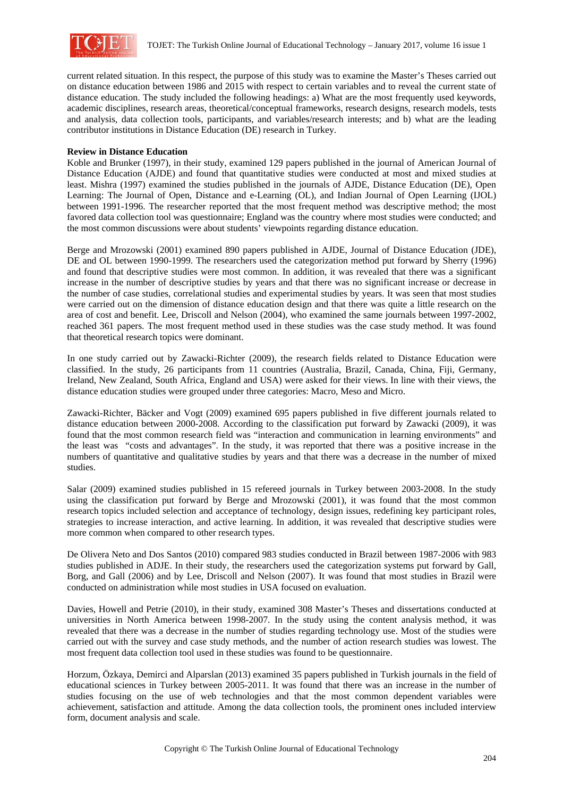

current related situation. In this respect, the purpose of this study was to examine the Master's Theses carried out on distance education between 1986 and 2015 with respect to certain variables and to reveal the current state of distance education. The study included the following headings: a) What are the most frequently used keywords, academic disciplines, research areas, theoretical/conceptual frameworks, research designs, research models, tests and analysis, data collection tools, participants, and variables/research interests; and b) what are the leading contributor institutions in Distance Education (DE) research in Turkey.

## **Review in Distance Education**

Koble and Brunker (1997), in their study, examined 129 papers published in the journal of American Journal of Distance Education (AJDE) and found that quantitative studies were conducted at most and mixed studies at least. Mishra (1997) examined the studies published in the journals of AJDE, Distance Education (DE), Open Learning: The Journal of Open, Distance and e-Learning (OL), and Indian Journal of Open Learning (IJOL) between 1991-1996. The researcher reported that the most frequent method was descriptive method; the most favored data collection tool was questionnaire; England was the country where most studies were conducted; and the most common discussions were about students' viewpoints regarding distance education.

Berge and Mrozowski (2001) examined 890 papers published in AJDE, Journal of Distance Education (JDE), DE and OL between 1990-1999. The researchers used the categorization method put forward by Sherry (1996) and found that descriptive studies were most common. In addition, it was revealed that there was a significant increase in the number of descriptive studies by years and that there was no significant increase or decrease in the number of case studies, correlational studies and experimental studies by years. It was seen that most studies were carried out on the dimension of distance education design and that there was quite a little research on the area of cost and benefit. Lee, Driscoll and Nelson (2004), who examined the same journals between 1997-2002, reached 361 papers. The most frequent method used in these studies was the case study method. It was found that theoretical research topics were dominant.

In one study carried out by Zawacki-Richter (2009), the research fields related to Distance Education were classified. In the study, 26 participants from 11 countries (Australia, Brazil, Canada, China, Fiji, Germany, Ireland, New Zealand, South Africa, England and USA) were asked for their views. In line with their views, the distance education studies were grouped under three categories: Macro, Meso and Micro.

Zawacki-Richter, Bäcker and Vogt (2009) examined 695 papers published in five different journals related to distance education between 2000-2008. According to the classification put forward by Zawacki (2009), it was found that the most common research field was "interaction and communication in learning environments" and the least was "costs and advantages". In the study, it was reported that there was a positive increase in the numbers of quantitative and qualitative studies by years and that there was a decrease in the number of mixed studies.

Salar (2009) examined studies published in 15 refereed journals in Turkey between 2003-2008. In the study using the classification put forward by Berge and Mrozowski (2001), it was found that the most common research topics included selection and acceptance of technology, design issues, redefining key participant roles, strategies to increase interaction, and active learning. In addition, it was revealed that descriptive studies were more common when compared to other research types.

De Olivera Neto and Dos Santos (2010) compared 983 studies conducted in Brazil between 1987-2006 with 983 studies published in ADJE. In their study, the researchers used the categorization systems put forward by Gall, Borg, and Gall (2006) and by Lee, Driscoll and Nelson (2007). It was found that most studies in Brazil were conducted on administration while most studies in USA focused on evaluation.

Davies, Howell and Petrie (2010), in their study, examined 308 Master's Theses and dissertations conducted at universities in North America between 1998-2007. In the study using the content analysis method, it was revealed that there was a decrease in the number of studies regarding technology use. Most of the studies were carried out with the survey and case study methods, and the number of action research studies was lowest. The most frequent data collection tool used in these studies was found to be questionnaire.

Horzum, Özkaya, Demirci and Alparslan (2013) examined 35 papers published in Turkish journals in the field of educational sciences in Turkey between 2005-2011. It was found that there was an increase in the number of studies focusing on the use of web technologies and that the most common dependent variables were achievement, satisfaction and attitude. Among the data collection tools, the prominent ones included interview form, document analysis and scale.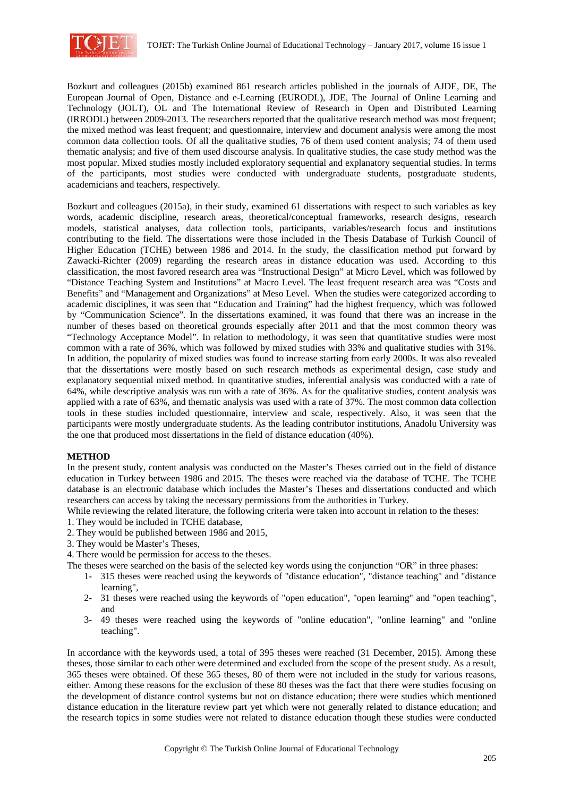

Bozkurt and colleagues (2015b) examined 861 research articles published in the journals of AJDE, DE, The European Journal of Open, Distance and e-Learning (EURODL), JDE, The Journal of Online Learning and Technology (JOLT), OL and The International Review of Research in Open and Distributed Learning (IRRODL) between 2009-2013. The researchers reported that the qualitative research method was most frequent; the mixed method was least frequent; and questionnaire, interview and document analysis were among the most common data collection tools. Of all the qualitative studies, 76 of them used content analysis; 74 of them used thematic analysis; and five of them used discourse analysis. In qualitative studies, the case study method was the most popular. Mixed studies mostly included exploratory sequential and explanatory sequential studies. In terms of the participants, most studies were conducted with undergraduate students, postgraduate students, academicians and teachers, respectively.

Bozkurt and colleagues (2015a), in their study, examined 61 dissertations with respect to such variables as key words, academic discipline, research areas, theoretical/conceptual frameworks, research designs, research models, statistical analyses, data collection tools, participants, variables/research focus and institutions contributing to the field. The dissertations were those included in the Thesis Database of Turkish Council of Higher Education (TCHE) between 1986 and 2014. In the study, the classification method put forward by Zawacki-Richter (2009) regarding the research areas in distance education was used. According to this classification, the most favored research area was "Instructional Design" at Micro Level, which was followed by "Distance Teaching System and Institutions" at Macro Level. The least frequent research area was "Costs and Benefits" and "Management and Organizations" at Meso Level. When the studies were categorized according to academic disciplines, it was seen that "Education and Training" had the highest frequency, which was followed by "Communication Science". In the dissertations examined, it was found that there was an increase in the number of theses based on theoretical grounds especially after 2011 and that the most common theory was "Technology Acceptance Model". In relation to methodology, it was seen that quantitative studies were most common with a rate of 36%, which was followed by mixed studies with 33% and qualitative studies with 31%. In addition, the popularity of mixed studies was found to increase starting from early 2000s. It was also revealed that the dissertations were mostly based on such research methods as experimental design, case study and explanatory sequential mixed method. In quantitative studies, inferential analysis was conducted with a rate of 64%, while descriptive analysis was run with a rate of 36%. As for the qualitative studies, content analysis was applied with a rate of 63%, and thematic analysis was used with a rate of 37%. The most common data collection tools in these studies included questionnaire, interview and scale, respectively. Also, it was seen that the participants were mostly undergraduate students. As the leading contributor institutions, Anadolu University was the one that produced most dissertations in the field of distance education (40%).

# **METHOD**

In the present study, content analysis was conducted on the Master's Theses carried out in the field of distance education in Turkey between 1986 and 2015. The theses were reached via the database of TCHE. The TCHE database is an electronic database which includes the Master's Theses and dissertations conducted and which researchers can access by taking the necessary permissions from the authorities in Turkey.

- While reviewing the related literature, the following criteria were taken into account in relation to the theses:
- 1. They would be included in TCHE database,
- 2. They would be published between 1986 and 2015,
- 3. They would be Master's Theses,
- 4. There would be permission for access to the theses.
- The theses were searched on the basis of the selected key words using the conjunction "OR" in three phases:
	- 1- 315 theses were reached using the keywords of "distance education", "distance teaching" and "distance learning",
	- 2- 31 theses were reached using the keywords of "open education", "open learning" and "open teaching", and
	- 3- 49 theses were reached using the keywords of "online education", "online learning" and "online teaching".

In accordance with the keywords used, a total of 395 theses were reached (31 December, 2015). Among these theses, those similar to each other were determined and excluded from the scope of the present study. As a result, 365 theses were obtained. Of these 365 theses, 80 of them were not included in the study for various reasons, either. Among these reasons for the exclusion of these 80 theses was the fact that there were studies focusing on the development of distance control systems but not on distance education; there were studies which mentioned distance education in the literature review part yet which were not generally related to distance education; and the research topics in some studies were not related to distance education though these studies were conducted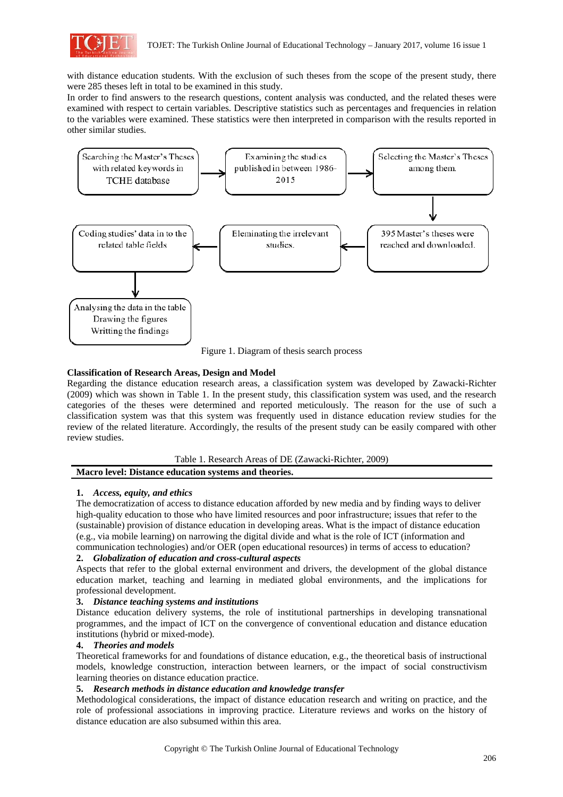

with distance education students. With the exclusion of such theses from the scope of the present study, there were 285 theses left in total to be examined in this study.

In order to find answers to the research questions, content analysis was conducted, and the related theses were examined with respect to certain variables. Descriptive statistics such as percentages and frequencies in relation to the variables were examined. These statistics were then interpreted in comparison with the results reported in other similar studies.



Figure 1. Diagram of thesis search process

# **Classification of Research Areas, Design and Model**

Regarding the distance education research areas, a classification system was developed by Zawacki-Richter (2009) which was shown in Table 1. In the present study, this classification system was used, and the research categories of the theses were determined and reported meticulously. The reason for the use of such a classification system was that this system was frequently used in distance education review studies for the review of the related literature. Accordingly, the results of the present study can be easily compared with other review studies.

# Table 1. Research Areas of DE (Zawacki-Richter, 2009) **Macro level: Distance education systems and theories.**

# **1.** *Access, equity, and ethics*

The democratization of access to distance education afforded by new media and by finding ways to deliver high-quality education to those who have limited resources and poor infrastructure; issues that refer to the (sustainable) provision of distance education in developing areas. What is the impact of distance education (e.g., via mobile learning) on narrowing the digital divide and what is the role of ICT (information and communication technologies) and/or OER (open educational resources) in terms of access to education?

# **2.** *Globalization of education and cross-cultural aspects*

Aspects that refer to the global external environment and drivers, the development of the global distance education market, teaching and learning in mediated global environments, and the implications for professional development.

# **3.** *Distance teaching systems and institutions*

Distance education delivery systems, the role of institutional partnerships in developing transnational programmes, and the impact of ICT on the convergence of conventional education and distance education institutions (hybrid or mixed-mode).

# **4.** *Theories and models*

Theoretical frameworks for and foundations of distance education, e.g., the theoretical basis of instructional models, knowledge construction, interaction between learners, or the impact of social constructivism learning theories on distance education practice.

# **5.** *Research methods in distance education and knowledge transfer*

Methodological considerations, the impact of distance education research and writing on practice, and the role of professional associations in improving practice. Literature reviews and works on the history of distance education are also subsumed within this area.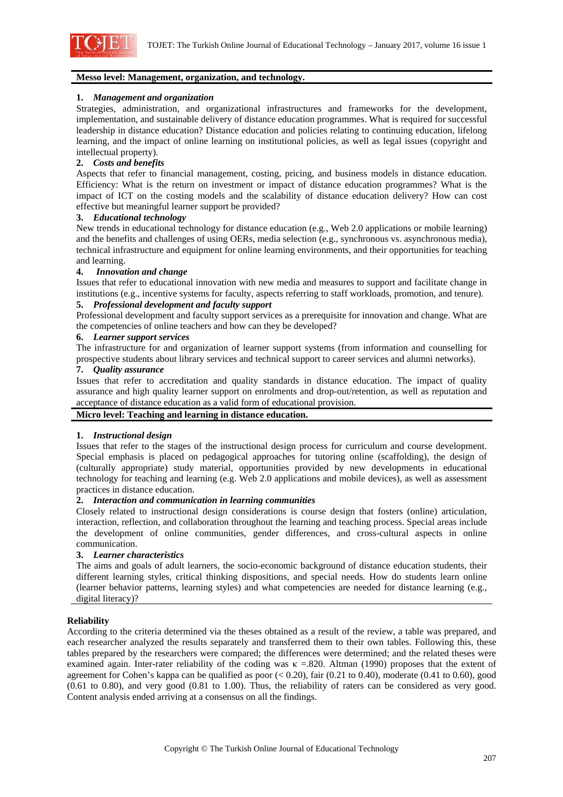

# **Messo level: Management, organization, and technology.**

#### **1.** *Management and organization*

Strategies, administration, and organizational infrastructures and frameworks for the development, implementation, and sustainable delivery of distance education programmes. What is required for successful leadership in distance education? Distance education and policies relating to continuing education, lifelong learning, and the impact of online learning on institutional policies, as well as legal issues (copyright and intellectual property).

### **2.** *Costs and benefits*

Aspects that refer to financial management, costing, pricing, and business models in distance education. Efficiency: What is the return on investment or impact of distance education programmes? What is the impact of ICT on the costing models and the scalability of distance education delivery? How can cost effective but meaningful learner support be provided?

### **3.** *Educational technology*

New trends in educational technology for distance education (e.g., Web 2.0 applications or mobile learning) and the benefits and challenges of using OERs, media selection (e.g., synchronous vs. asynchronous media), technical infrastructure and equipment for online learning environments, and their opportunities for teaching and learning.

### **4.** *Innovation and change*

Issues that refer to educational innovation with new media and measures to support and facilitate change in institutions (e.g., incentive systems for faculty, aspects referring to staff workloads, promotion, and tenure).

### **5.** *Professional development and faculty support*

Professional development and faculty support services as a prerequisite for innovation and change. What are the competencies of online teachers and how can they be developed?

#### **6.** *Learner support services*

The infrastructure for and organization of learner support systems (from information and counselling for prospective students about library services and technical support to career services and alumni networks).

#### **7.** *Quality assurance*

Issues that refer to accreditation and quality standards in distance education. The impact of quality assurance and high quality learner support on enrolments and drop-out/retention, as well as reputation and acceptance of distance education as a valid form of educational provision.

# **Micro level: Teaching and learning in distance education.**

#### **1.** *Instructional design*

Issues that refer to the stages of the instructional design process for curriculum and course development. Special emphasis is placed on pedagogical approaches for tutoring online (scaffolding), the design of (culturally appropriate) study material, opportunities provided by new developments in educational technology for teaching and learning (e.g. Web 2.0 applications and mobile devices), as well as assessment practices in distance education.

#### **2.** *Interaction and communication in learning communities*

Closely related to instructional design considerations is course design that fosters (online) articulation, interaction, reflection, and collaboration throughout the learning and teaching process. Special areas include the development of online communities, gender differences, and cross-cultural aspects in online communication.

# **3.** *Learner characteristics*

The aims and goals of adult learners, the socio-economic background of distance education students, their different learning styles, critical thinking dispositions, and special needs. How do students learn online (learner behavior patterns, learning styles) and what competencies are needed for distance learning (e.g., digital literacy)?

#### **Reliability**

According to the criteria determined via the theses obtained as a result of the review, a table was prepared, and each researcher analyzed the results separately and transferred them to their own tables. Following this, these tables prepared by the researchers were compared; the differences were determined; and the related theses were examined again. Inter-rater reliability of the coding was  $\kappa = 0.820$ . Altman (1990) proposes that the extent of agreement for Cohen's kappa can be qualified as poor  $( $0.20$ ), fair  $(0.21 \text{ to } 0.40)$ , moderate  $(0.41 \text{ to } 0.60)$ , good$ (0.61 to 0.80), and very good (0.81 to 1.00). Thus, the reliability of raters can be considered as very good. Content analysis ended arriving at a consensus on all the findings.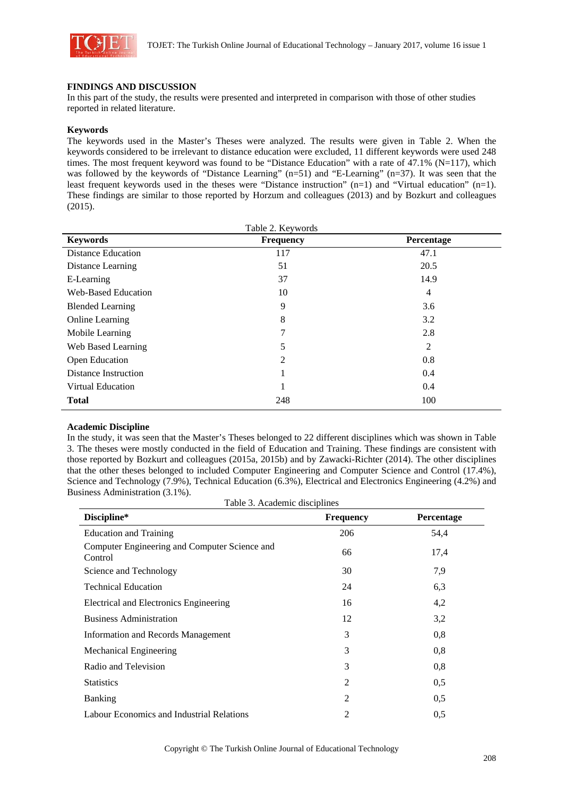

# **FINDINGS AND DISCUSSION**

In this part of the study, the results were presented and interpreted in comparison with those of other studies reported in related literature.

### **Keywords**

The keywords used in the Master's Theses were analyzed. The results were given in Table 2. When the keywords considered to be irrelevant to distance education were excluded, 11 different keywords were used 248 times. The most frequent keyword was found to be "Distance Education" with a rate of 47.1% (N=117), which was followed by the keywords of "Distance Learning" (n=51) and "E-Learning" (n=37). It was seen that the least frequent keywords used in the theses were "Distance instruction" (n=1) and "Virtual education" (n=1). These findings are similar to those reported by Horzum and colleagues (2013) and by Bozkurt and colleagues (2015).

| <b>Keywords</b>             | <b>Frequency</b> | Percentage     |
|-----------------------------|------------------|----------------|
| <b>Distance Education</b>   | 117              | 47.1           |
| Distance Learning           | 51               | 20.5           |
| E-Learning                  | 37               | 14.9           |
| Web-Based Education         | 10               | $\overline{4}$ |
| <b>Blended Learning</b>     | 9                | 3.6            |
| <b>Online Learning</b>      | 8                | 3.2            |
| Mobile Learning             | 7                | 2.8            |
| Web Based Learning          | 5                | 2              |
| Open Education              | 2                | 0.8            |
| <b>Distance Instruction</b> |                  | 0.4            |
| Virtual Education           |                  | 0.4            |
| <b>Total</b>                | 248              | 100            |

#### **Academic Discipline**

In the study, it was seen that the Master's Theses belonged to 22 different disciplines which was shown in Table 3. The theses were mostly conducted in the field of Education and Training. These findings are consistent with those reported by Bozkurt and colleagues (2015a, 2015b) and by Zawacki-Richter (2014). The other disciplines that the other theses belonged to included Computer Engineering and Computer Science and Control (17.4%), Science and Technology (7.9%), Technical Education (6.3%), Electrical and Electronics Engineering (4.2%) and Business Administration (3.1%).

Table 3. Academic disciplines

| Discipline*                                              | <b>Frequency</b> | Percentage |
|----------------------------------------------------------|------------------|------------|
| <b>Education and Training</b>                            | 206              | 54,4       |
| Computer Engineering and Computer Science and<br>Control | 66               | 17,4       |
| Science and Technology                                   | 30               | 7,9        |
| <b>Technical Education</b>                               | 24               | 6,3        |
| Electrical and Electronics Engineering                   | 16               | 4,2        |
| <b>Business Administration</b>                           | 12               | 3,2        |
| <b>Information and Records Management</b>                | 3                | 0,8        |
| <b>Mechanical Engineering</b>                            | 3                | 0,8        |
| Radio and Television                                     | 3                | 0,8        |
| <b>Statistics</b>                                        | 2                | 0,5        |
| <b>Banking</b>                                           | 2                | 0,5        |
| Labour Economics and Industrial Relations                | 2                | 0,5        |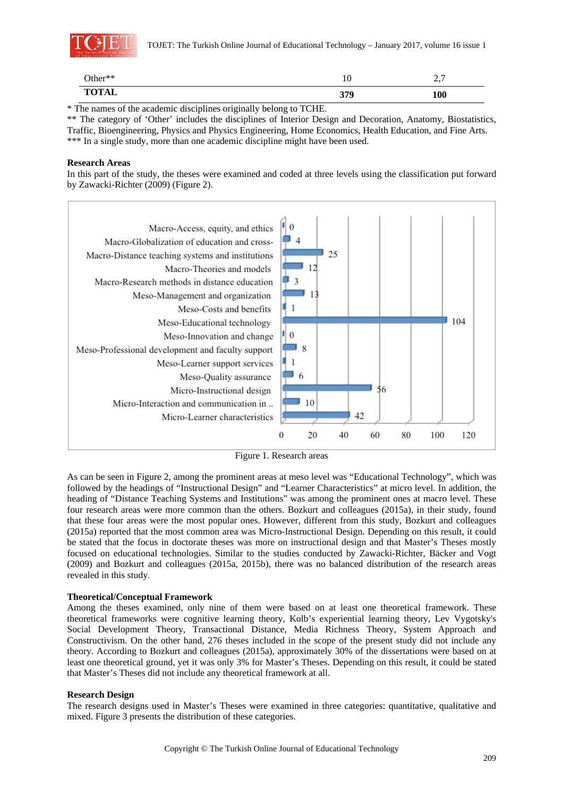

| Other**      | 1 V | . .<br>$\sim \cdot$ |
|--------------|-----|---------------------|
| <b>TOTAL</b> | 379 | <b>100</b>          |

\* The names of the academic disciplines originally belong to TCHE.

\*\* The category of 'Other' includes the disciplines of Interior Design and Decoration, Anatomy, Biostatistics, Traffic, Bioengineering, Physics and Physics Engineering, Home Economics, Health Education, and Fine Arts. \*\*\* In a single study, more than one academic discipline might have been used.

### **Research Areas**

In this part of the study, the theses were examined and coded at three levels using the classification put forward by Zawacki-Richter (2009) (Figure 2).



Figure 1. Research areas

As can be seen in Figure 2, among the prominent areas at meso level was "Educational Technology", which was followed by the headings of "Instructional Design" and "Learner Characteristics" at micro level. In addition, the heading of "Distance Teaching Systems and Institutions" was among the prominent ones at macro level. These four research areas were more common than the others. Bozkurt and colleagues (2015a), in their study, found that these four areas were the most popular ones. However, different from this study, Bozkurt and colleagues (2015a) reported that the most common area was Micro-Instructional Design. Depending on this result, it could be stated that the focus in doctorate theses was more on instructional design and that Master's Theses mostly focused on educational technologies. Similar to the studies conducted by Zawacki-Richter, Bäcker and Vogt (2009) and Bozkurt and colleagues (2015a, 2015b), there was no balanced distribution of the research areas revealed in this study.

# **Theoretical/Conceptual Framework**

Among the theses examined, only nine of them were based on at least one theoretical framework. These theoretical frameworks were cognitive learning theory, Kolb's experiential learning theory, Lev Vygotsky's Social Development Theory, Transactional Distance, Media Richness Theory, System Approach and Constructivism. On the other hand, 276 theses included in the scope of the present study did not include any theory. According to Bozkurt and colleagues (2015a), approximately 30% of the dissertations were based on at least one theoretical ground, yet it was only 3% for Master's Theses. Depending on this result, it could be stated that Master's Theses did not include any theoretical framework at all.

# **Research Design**

The research designs used in Master's Theses were examined in three categories: quantitative, qualitative and mixed. Figure 3 presents the distribution of these categories.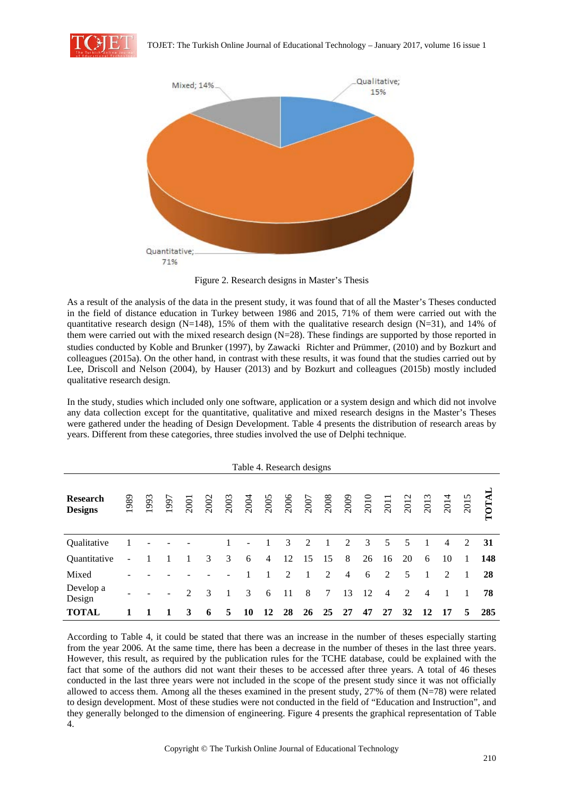



Figure 2. Research designs in Master's Thesis

As a result of the analysis of the data in the present study, it was found that of all the Master's Theses conducted in the field of distance education in Turkey between 1986 and 2015, 71% of them were carried out with the quantitative research design (N=148), 15% of them with the qualitative research design (N=31), and 14% of them were carried out with the mixed research design (N=28). These findings are supported by those reported in studies conducted by Koble and Brunker (1997), by Zawacki Richter and Prümmer, (2010) and by Bozkurt and colleagues (2015a). On the other hand, in contrast with these results, it was found that the studies carried out by Lee, Driscoll and Nelson (2004), by Hauser (2013) and by Bozkurt and colleagues (2015b) mostly included qualitative research design.

In the study, studies which included only one software, application or a system design and which did not involve any data collection except for the quantitative, qualitative and mixed research designs in the Master's Theses were gathered under the heading of Design Development. Table 4 presents the distribution of research areas by years. Different from these categories, three studies involved the use of Delphi technique.

| Table 4. Research designs         |      |     |      |                |      |      |                |                |    |    |                      |                |                      |                |      |                |                |      |       |
|-----------------------------------|------|-----|------|----------------|------|------|----------------|----------------|----|----|----------------------|----------------|----------------------|----------------|------|----------------|----------------|------|-------|
| <b>Research</b><br><b>Designs</b> | 1989 | 993 | 1997 | 2001           | 2002 | 2003 | 2004           | 2005           |    |    | 2006<br>2007<br>2008 |                | 2009<br>2010<br>2011 |                | 2012 | 2013           | 2014           | 2015 | TOTAL |
| Qualitative                       |      |     |      |                |      |      | $\overline{a}$ |                | 3  | 2  | 1                    | 2              | 3                    | 5              | 5    |                | $\overline{4}$ | 2    | 31    |
| Quantitative                      |      |     |      |                | 3    | 3    | 6              | $\overline{4}$ | 12 | 15 | 15                   | 8              | 26                   | 16             | 20   | 6              | 10             | 1    | 148   |
| Mixed                             |      |     |      |                |      |      |                |                | 2  | 1  | 2                    | $\overline{4}$ | 6                    | 2              | 5    |                | 2              |      | 28    |
| Develop a<br>Design               |      |     |      | $\overline{2}$ | 3    |      | 3              | 6              | 11 | 8  | 7                    | 13             | 12                   | $\overline{4}$ | 2    | $\overline{4}$ |                |      | 78    |
| <b>TOTAL</b>                      |      |     |      | 3              | 6    | 5    | 10             | 12             | 28 | 26 | 25                   | 27             | 47                   | 27             | 32   | 12             | 17             | 5    | 285   |

According to Table 4, it could be stated that there was an increase in the number of theses especially starting from the year 2006. At the same time, there has been a decrease in the number of theses in the last three years. However, this result, as required by the publication rules for the TCHE database, could be explained with the fact that some of the authors did not want their theses to be accessed after three years. A total of 46 theses conducted in the last three years were not included in the scope of the present study since it was not officially allowed to access them. Among all the theses examined in the present study, 27'% of them (N=78) were related to design development. Most of these studies were not conducted in the field of "Education and Instruction", and they generally belonged to the dimension of engineering. Figure 4 presents the graphical representation of Table 4.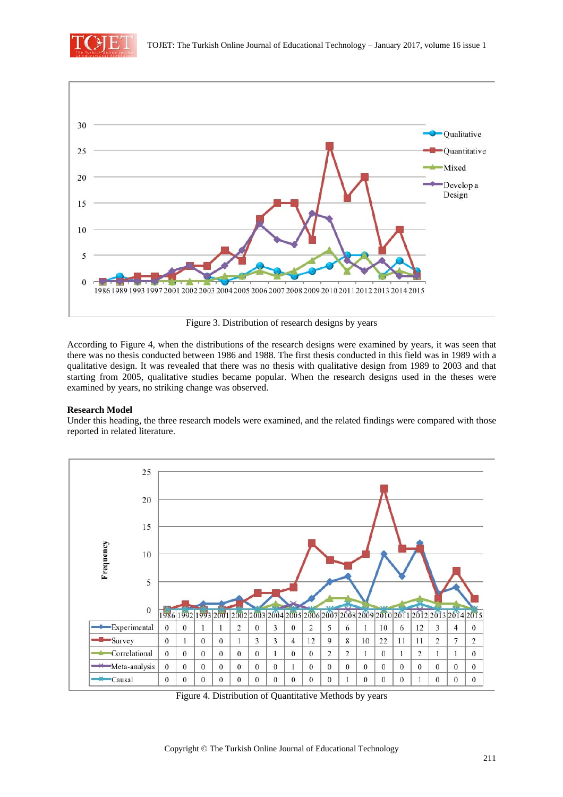



Figure 3. Distribution of research designs by years

According to Figure 4, when the distributions of the research designs were examined by years, it was seen that there was no thesis conducted between 1986 and 1988. The first thesis conducted in this field was in 1989 with a qualitative design. It was revealed that there was no thesis with qualitative design from 1989 to 2003 and that starting from 2005, qualitative studies became popular. When the research designs used in the theses were examined by years, no striking change was observed.

# **Research Model**

Under this heading, the three research models were examined, and the related findings were compared with those reported in related literature.



Figure 4. Distribution of Quantitative Methods by years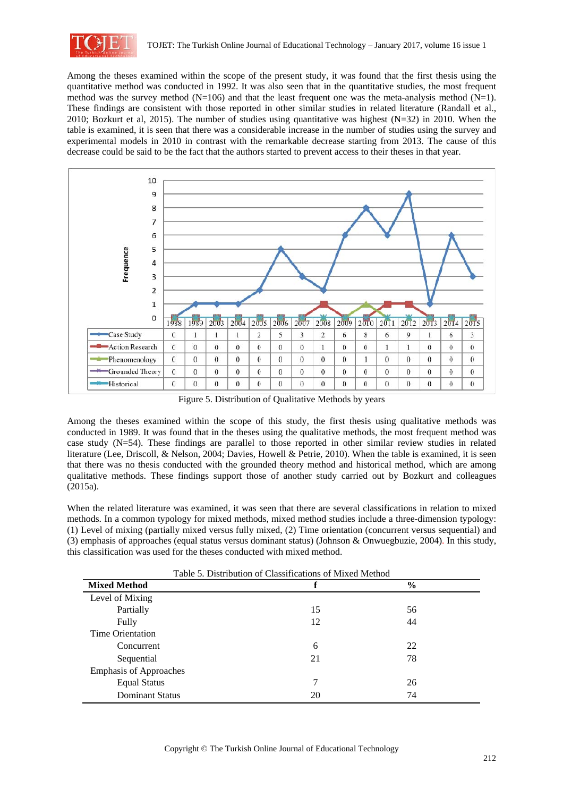

Among the theses examined within the scope of the present study, it was found that the first thesis using the quantitative method was conducted in 1992. It was also seen that in the quantitative studies, the most frequent method was the survey method  $(N=106)$  and that the least frequent one was the meta-analysis method  $(N=1)$ . These findings are consistent with those reported in other similar studies in related literature (Randall et al., 2010; Bozkurt et al, 2015). The number of studies using quantitative was highest (N=32) in 2010. When the table is examined, it is seen that there was a considerable increase in the number of studies using the survey and experimental models in 2010 in contrast with the remarkable decrease starting from 2013. The cause of this decrease could be said to be the fact that the authors started to prevent access to their theses in that year.



Figure 5. Distribution of Qualitative Methods by years

Among the theses examined within the scope of this study, the first thesis using qualitative methods was conducted in 1989. It was found that in the theses using the qualitative methods, the most frequent method was case study (N=54). These findings are parallel to those reported in other similar review studies in related literature (Lee, Driscoll, & Nelson, 2004; Davies, Howell & Petrie, 2010). When the table is examined, it is seen that there was no thesis conducted with the grounded theory method and historical method, which are among qualitative methods. These findings support those of another study carried out by Bozkurt and colleagues (2015a).

When the related literature was examined, it was seen that there are several classifications in relation to mixed methods. In a common typology for mixed methods, mixed method studies include a three-dimension typology: (1) Level of mixing (partially mixed versus fully mixed, (2) Time orientation (concurrent versus sequential) and (3) emphasis of approaches (equal status versus dominant status) (Johnson & Onwuegbuzie, 2004). In this study, this classification was used for the theses conducted with mixed method.

| Table 5. Distribution of Classifications of Mixed Method |    |               |  |  |  |  |  |  |  |
|----------------------------------------------------------|----|---------------|--|--|--|--|--|--|--|
| <b>Mixed Method</b>                                      |    | $\frac{6}{6}$ |  |  |  |  |  |  |  |
| Level of Mixing                                          |    |               |  |  |  |  |  |  |  |
| Partially                                                | 15 | 56            |  |  |  |  |  |  |  |
| Fully                                                    | 12 | 44            |  |  |  |  |  |  |  |
| Time Orientation                                         |    |               |  |  |  |  |  |  |  |
| Concurrent                                               | 6  | 22            |  |  |  |  |  |  |  |
| Sequential                                               | 21 | 78            |  |  |  |  |  |  |  |
| <b>Emphasis of Approaches</b>                            |    |               |  |  |  |  |  |  |  |
| <b>Equal Status</b>                                      | 7  | 26            |  |  |  |  |  |  |  |
| <b>Dominant Status</b>                                   | 20 | 74            |  |  |  |  |  |  |  |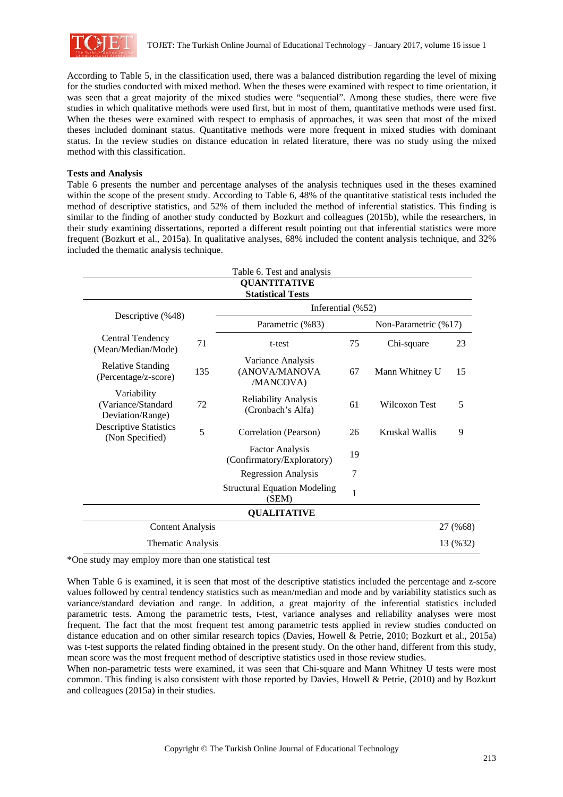

According to Table 5, in the classification used, there was a balanced distribution regarding the level of mixing for the studies conducted with mixed method. When the theses were examined with respect to time orientation, it was seen that a great majority of the mixed studies were "sequential". Among these studies, there were five studies in which qualitative methods were used first, but in most of them, quantitative methods were used first. When the theses were examined with respect to emphasis of approaches, it was seen that most of the mixed theses included dominant status. Quantitative methods were more frequent in mixed studies with dominant status. In the review studies on distance education in related literature, there was no study using the mixed method with this classification.

### **Tests and Analysis**

Table 6 presents the number and percentage analyses of the analysis techniques used in the theses examined within the scope of the present study. According to Table 6, 48% of the quantitative statistical tests included the method of descriptive statistics, and 52% of them included the method of inferential statistics. This finding is similar to the finding of another study conducted by Bozkurt and colleagues (2015b), while the researchers, in their study examining dissertations, reported a different result pointing out that inferential statistics were more frequent (Bozkurt et al., 2015a). In qualitative analyses, 68% included the content analysis technique, and 32% included the thematic analysis technique.

|                                                       |     | Table 6. Test and analysis                           |    |                      |          |  |  |  |  |  |  |  |  |
|-------------------------------------------------------|-----|------------------------------------------------------|----|----------------------|----------|--|--|--|--|--|--|--|--|
|                                                       |     | <b>QUANTITATIVE</b><br><b>Statistical Tests</b>      |    |                      |          |  |  |  |  |  |  |  |  |
|                                                       |     | Inferential $(\%52)$                                 |    |                      |          |  |  |  |  |  |  |  |  |
| Descriptive (%48)                                     |     | Parametric (%83)                                     |    | Non-Parametric (%17) |          |  |  |  |  |  |  |  |  |
| <b>Central Tendency</b><br>(Mean/Median/Mode)         | 71  | t-test                                               | 75 | Chi-square           | 23       |  |  |  |  |  |  |  |  |
| <b>Relative Standing</b><br>(Percentage/z-score)      | 135 | Variance Analysis<br>(ANOVA/MANOVA<br>/MANCOVA)      | 67 | Mann Whitney U       | 15       |  |  |  |  |  |  |  |  |
| Variability<br>(Variance/Standard<br>Deviation/Range) | 72  | <b>Reliability Analysis</b><br>(Cronbach's Alfa)     | 61 | Wilcoxon Test        | 5        |  |  |  |  |  |  |  |  |
| <b>Descriptive Statistics</b><br>(Non Specified)      | 5   | Correlation (Pearson)                                | 26 | Kruskal Wallis       | 9        |  |  |  |  |  |  |  |  |
|                                                       |     | <b>Factor Analysis</b><br>(Confirmatory/Exploratory) | 19 |                      |          |  |  |  |  |  |  |  |  |
|                                                       |     | <b>Regression Analysis</b>                           | 7  |                      |          |  |  |  |  |  |  |  |  |
|                                                       |     | <b>Structural Equation Modeling</b><br>(SEM)         | 1  |                      |          |  |  |  |  |  |  |  |  |
|                                                       |     | <b>QUALITATIVE</b>                                   |    |                      |          |  |  |  |  |  |  |  |  |
| <b>Content Analysis</b>                               |     |                                                      |    |                      | 27 (%68) |  |  |  |  |  |  |  |  |
| Thematic Analysis                                     |     |                                                      |    |                      | 13 (%32) |  |  |  |  |  |  |  |  |

\*One study may employ more than one statistical test

When Table 6 is examined, it is seen that most of the descriptive statistics included the percentage and z-score values followed by central tendency statistics such as mean/median and mode and by variability statistics such as variance/standard deviation and range. In addition, a great majority of the inferential statistics included parametric tests. Among the parametric tests, t-test, variance analyses and reliability analyses were most frequent. The fact that the most frequent test among parametric tests applied in review studies conducted on distance education and on other similar research topics (Davies, Howell & Petrie, 2010; Bozkurt et al., 2015a) was t-test supports the related finding obtained in the present study. On the other hand, different from this study, mean score was the most frequent method of descriptive statistics used in those review studies.

When non-parametric tests were examined, it was seen that Chi-square and Mann Whitney U tests were most common. This finding is also consistent with those reported by Davies, Howell & Petrie, (2010) and by Bozkurt and colleagues (2015a) in their studies.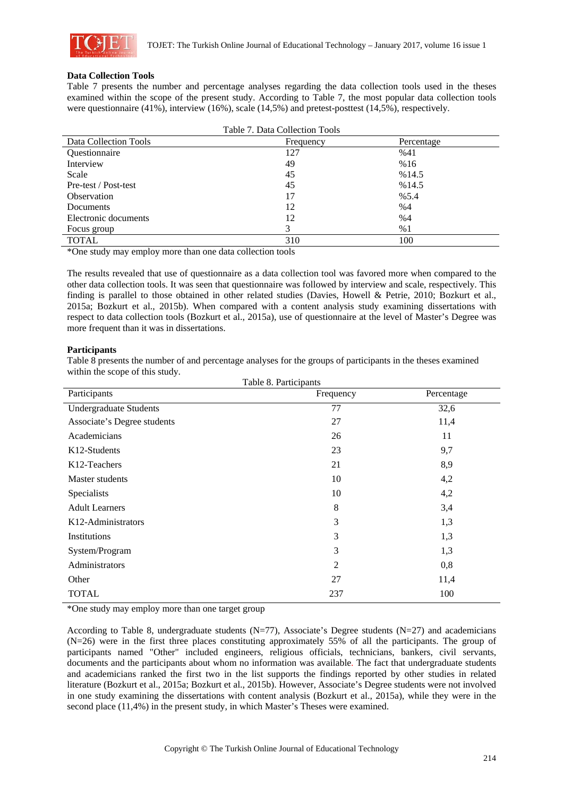

### **Data Collection Tools**

Table 7 presents the number and percentage analyses regarding the data collection tools used in the theses examined within the scope of the present study. According to Table 7, the most popular data collection tools were questionnaire (41%), interview (16%), scale (14,5%) and pretest-posttest (14,5%), respectively.

| Table 7. Data Collection Tools |           |            |  |  |  |  |  |  |  |  |
|--------------------------------|-----------|------------|--|--|--|--|--|--|--|--|
| Data Collection Tools          | Frequency | Percentage |  |  |  |  |  |  |  |  |
| <b>Ouestionnaire</b>           | 127       | %41        |  |  |  |  |  |  |  |  |
| Interview                      | 49        | %16        |  |  |  |  |  |  |  |  |
| Scale                          | 45        | %14.5      |  |  |  |  |  |  |  |  |
| Pre-test / Post-test           | 45        | %14.5      |  |  |  |  |  |  |  |  |
| Observation                    | 17        | %5.4       |  |  |  |  |  |  |  |  |
| Documents                      | 12        | %4         |  |  |  |  |  |  |  |  |
| Electronic documents           | 12        | %4         |  |  |  |  |  |  |  |  |
| Focus group                    | 3         | %1         |  |  |  |  |  |  |  |  |
| <b>TOTAL</b>                   | 310       | 100        |  |  |  |  |  |  |  |  |

\*One study may employ more than one data collection tools

The results revealed that use of questionnaire as a data collection tool was favored more when compared to the other data collection tools. It was seen that questionnaire was followed by interview and scale, respectively. This finding is parallel to those obtained in other related studies (Davies, Howell & Petrie, 2010; Bozkurt et al., 2015a; Bozkurt et al., 2015b). When compared with a content analysis study examining dissertations with respect to data collection tools (Bozkurt et al., 2015a), use of questionnaire at the level of Master's Degree was more frequent than it was in dissertations.

### **Participants**

Table 8 presents the number of and percentage analyses for the groups of participants in the theses examined within the scope of this study.  $T_1$   $\alpha$   $\beta$ .  $\beta$ .

| Participants                    | Frequency      | Percentage |
|---------------------------------|----------------|------------|
| <b>Undergraduate Students</b>   | 77             | 32,6       |
| Associate's Degree students     | 27             | 11,4       |
| Academicians                    | 26             | 11         |
| K <sub>12</sub> -Students       | 23             | 9,7        |
| K <sub>12</sub> -Teachers       | 21             | 8,9        |
| Master students                 | 10             | 4,2        |
| Specialists                     | 10             | 4,2        |
| <b>Adult Learners</b>           | 8              | 3,4        |
| K <sub>12</sub> -Administrators | $\mathfrak{Z}$ | 1,3        |
| Institutions                    | 3              | 1,3        |
| System/Program                  | 3              | 1,3        |
| Administrators                  | $\overline{2}$ | 0,8        |
| Other                           | 27             | 11,4       |
| <b>TOTAL</b>                    | 237            | 100        |

\*One study may employ more than one target group

According to Table 8, undergraduate students (N=77), Associate's Degree students (N=27) and academicians (N=26) were in the first three places constituting approximately 55% of all the participants. The group of participants named "Other" included engineers, religious officials, technicians, bankers, civil servants, documents and the participants about whom no information was available. The fact that undergraduate students and academicians ranked the first two in the list supports the findings reported by other studies in related literature (Bozkurt et al., 2015a; Bozkurt et al., 2015b). However, Associate's Degree students were not involved in one study examining the dissertations with content analysis (Bozkurt et al., 2015a), while they were in the second place (11,4%) in the present study, in which Master's Theses were examined.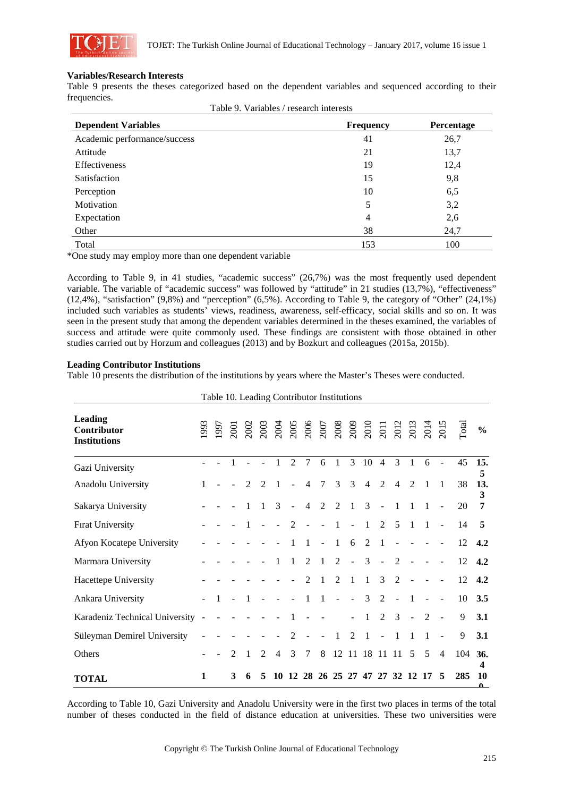

### **Variables/Research Interests**

Table 9 presents the theses categorized based on the dependent variables and sequenced according to their frequencies. Table 9. Variables / research interests

| Table 9. Variables / research interests |                  |                   |  |  |  |  |  |  |  |
|-----------------------------------------|------------------|-------------------|--|--|--|--|--|--|--|
| <b>Dependent Variables</b>              | <b>Frequency</b> | <b>Percentage</b> |  |  |  |  |  |  |  |
| Academic performance/success            | 41               | 26,7              |  |  |  |  |  |  |  |
| Attitude                                | 21               | 13,7              |  |  |  |  |  |  |  |
| <b>Effectiveness</b>                    | 19               | 12,4              |  |  |  |  |  |  |  |
| Satisfaction                            | 15               | 9,8               |  |  |  |  |  |  |  |
| Perception                              | 10               | 6,5               |  |  |  |  |  |  |  |
| Motivation                              | 5                | 3,2               |  |  |  |  |  |  |  |
| Expectation                             | 4                | 2,6               |  |  |  |  |  |  |  |
| Other                                   | 38               | 24,7              |  |  |  |  |  |  |  |
| Total                                   | 153              | 100               |  |  |  |  |  |  |  |

\*One study may employ more than one dependent variable

According to Table 9, in 41 studies, "academic success" (26,7%) was the most frequently used dependent variable. The variable of "academic success" was followed by "attitude" in 21 studies (13,7%), "effectiveness" (12,4%), "satisfaction" (9,8%) and "perception" (6,5%). According to Table 9, the category of "Other" (24,1%) included such variables as students' views, readiness, awareness, self-efficacy, social skills and so on. It was seen in the present study that among the dependent variables determined in the theses examined, the variables of success and attitude were quite commonly used. These findings are consistent with those obtained in other studies carried out by Horzum and colleagues (2013) and by Bozkurt and colleagues (2015a, 2015b).

### **Leading Contributor Institutions**

Table 10 presents the distribution of the institutions by years where the Master's Theses were conducted.

|                                                      |                |   | Table 10. Leading Contributor Institutions |                             |                |                             |                |                |                |                |                |                |                               |                |                |                |               |                     |
|------------------------------------------------------|----------------|---|--------------------------------------------|-----------------------------|----------------|-----------------------------|----------------|----------------|----------------|----------------|----------------|----------------|-------------------------------|----------------|----------------|----------------|---------------|---------------------|
| <b>Leading</b><br>Contributor<br><b>Institutions</b> |                |   |                                            |                             |                |                             |                |                |                |                |                |                |                               |                |                |                | $\Gamma$ otal | $\frac{0}{0}$       |
| Gazi University                                      |                |   |                                            |                             |                | $\mathfrak{D}$              | 7              | 6              | 1              | 3              | 10             | $\overline{4}$ | $\mathcal{E}$                 | $\mathbf{1}$   | 6              |                | 45            | 15.<br>5            |
| Anadolu University                                   |                |   | $\mathcal{D}_{\mathcal{L}}$                | $\mathcal{D}_{\mathcal{L}}$ | 1              |                             | 4              | $\tau$         | 3              | 3              | $\overline{4}$ | $\overline{2}$ | $\overline{4}$                | $\mathfrak{D}$ | 1              | $\overline{1}$ | 38            | 13.                 |
| Sakarya University                                   |                |   |                                            | $\mathbf{1}$                | $\mathcal{L}$  | $\mathbb{L}$                | $\overline{4}$ | $\overline{2}$ | $\overline{2}$ | $\overline{1}$ | $\overline{3}$ | $\overline{a}$ | $\mathbf{1}$                  | $\mathbf{1}$   | 1              |                | 20            | 3<br>$\overline{7}$ |
| <b>Firat University</b>                              |                |   |                                            |                             |                | $\mathcal{D}_{\mathcal{L}}$ |                |                |                |                | 1              | 2              | 5                             | 1              | $\mathbf{1}$   |                | 14            | 5                   |
| Afyon Kocatepe University                            |                |   |                                            |                             |                | 1                           | 1              | $\sim$         | $\overline{1}$ | 6              | 2              | -1             |                               |                |                |                | 12            | 4.2                 |
| Marmara University                                   |                |   |                                            |                             |                | 1                           | 2              | $\mathbf{1}$   | 2              | $\overline{a}$ | 3              |                | 2                             |                |                |                | 12            | 4.2                 |
| Hacettepe University                                 |                |   |                                            |                             |                |                             | $\mathfrak{D}$ |                | 2              | -1             | 1              | 3              | 2                             |                |                |                | 12            | 4.2                 |
| Ankara University                                    |                |   |                                            |                             |                |                             | $\mathbf{1}$   | $\overline{1}$ | $\overline{a}$ | $\overline{a}$ | $\mathcal{E}$  | 2              | $\sim$                        | $\overline{1}$ |                |                | 10            | 3.5                 |
| Karadeniz Technical University                       | $\overline{a}$ |   |                                            |                             |                |                             |                |                |                |                | $\mathbf{1}$   | 2              | 3                             | $\mathbf{r}$   | $\overline{2}$ |                | 9             | 3.1                 |
| Süleyman Demirel University                          |                |   |                                            |                             |                | 2                           |                |                | 1              | $\mathfrak{D}$ | 1              |                | -1                            |                | 1              |                | 9             | 3.1                 |
| Others                                               |                |   |                                            | $\mathfrak{D}$              | $\overline{4}$ | 3                           | 7              | 8              |                |                | 12 11 18 11 11 |                |                               | .5             | 5              | $\overline{4}$ | 104           | 36.<br>4            |
| <b>TOTAL</b>                                         | 1              | 3 | 6                                          | 5                           | 10             |                             |                |                |                |                |                |                | 12 28 26 25 27 47 27 32 12 17 |                |                | 5              | 285           | 10<br>$\mathbf{a}$  |

According to Table 10, Gazi University and Anadolu University were in the first two places in terms of the total number of theses conducted in the field of distance education at universities. These two universities were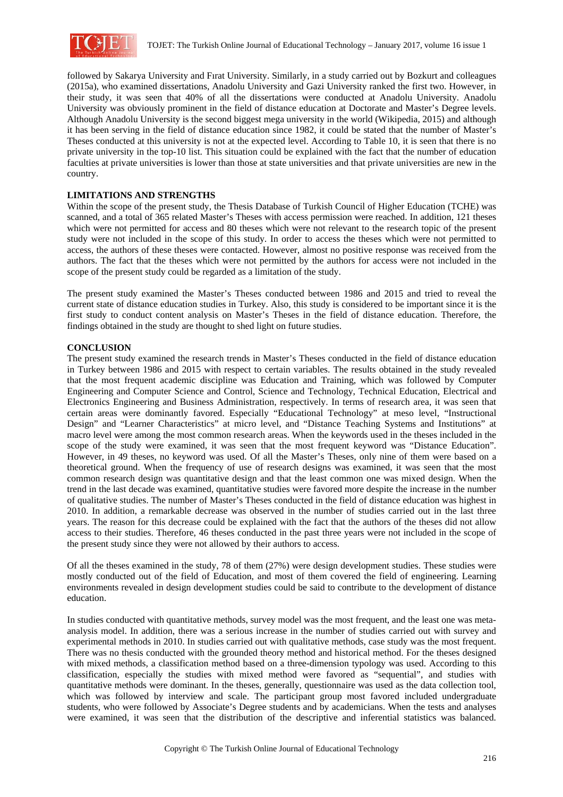

followed by Sakarya University and Fırat University. Similarly, in a study carried out by Bozkurt and colleagues (2015a), who examined dissertations, Anadolu University and Gazi University ranked the first two. However, in their study, it was seen that 40% of all the dissertations were conducted at Anadolu University. Anadolu University was obviously prominent in the field of distance education at Doctorate and Master's Degree levels. Although Anadolu University is the second biggest mega university in the world (Wikipedia, 2015) and although it has been serving in the field of distance education since 1982, it could be stated that the number of Master's Theses conducted at this university is not at the expected level. According to Table 10, it is seen that there is no private university in the top-10 list. This situation could be explained with the fact that the number of education faculties at private universities is lower than those at state universities and that private universities are new in the country.

# **LIMITATIONS AND STRENGTHS**

Within the scope of the present study, the Thesis Database of Turkish Council of Higher Education (TCHE) was scanned, and a total of 365 related Master's Theses with access permission were reached. In addition, 121 theses which were not permitted for access and 80 theses which were not relevant to the research topic of the present study were not included in the scope of this study. In order to access the theses which were not permitted to access, the authors of these theses were contacted. However, almost no positive response was received from the authors. The fact that the theses which were not permitted by the authors for access were not included in the scope of the present study could be regarded as a limitation of the study.

The present study examined the Master's Theses conducted between 1986 and 2015 and tried to reveal the current state of distance education studies in Turkey. Also, this study is considered to be important since it is the first study to conduct content analysis on Master's Theses in the field of distance education. Therefore, the findings obtained in the study are thought to shed light on future studies.

### **CONCLUSION**

The present study examined the research trends in Master's Theses conducted in the field of distance education in Turkey between 1986 and 2015 with respect to certain variables. The results obtained in the study revealed that the most frequent academic discipline was Education and Training, which was followed by Computer Engineering and Computer Science and Control, Science and Technology, Technical Education, Electrical and Electronics Engineering and Business Administration, respectively. In terms of research area, it was seen that certain areas were dominantly favored. Especially "Educational Technology" at meso level, "Instructional Design" and "Learner Characteristics" at micro level, and "Distance Teaching Systems and Institutions" at macro level were among the most common research areas. When the keywords used in the theses included in the scope of the study were examined, it was seen that the most frequent keyword was "Distance Education". However, in 49 theses, no keyword was used. Of all the Master's Theses, only nine of them were based on a theoretical ground. When the frequency of use of research designs was examined, it was seen that the most common research design was quantitative design and that the least common one was mixed design. When the trend in the last decade was examined, quantitative studies were favored more despite the increase in the number of qualitative studies. The number of Master's Theses conducted in the field of distance education was highest in 2010. In addition, a remarkable decrease was observed in the number of studies carried out in the last three years. The reason for this decrease could be explained with the fact that the authors of the theses did not allow access to their studies. Therefore, 46 theses conducted in the past three years were not included in the scope of the present study since they were not allowed by their authors to access.

Of all the theses examined in the study, 78 of them (27%) were design development studies. These studies were mostly conducted out of the field of Education, and most of them covered the field of engineering. Learning environments revealed in design development studies could be said to contribute to the development of distance education.

In studies conducted with quantitative methods, survey model was the most frequent, and the least one was metaanalysis model. In addition, there was a serious increase in the number of studies carried out with survey and experimental methods in 2010. In studies carried out with qualitative methods, case study was the most frequent. There was no thesis conducted with the grounded theory method and historical method. For the theses designed with mixed methods, a classification method based on a three-dimension typology was used. According to this classification, especially the studies with mixed method were favored as "sequential", and studies with quantitative methods were dominant. In the theses, generally, questionnaire was used as the data collection tool, which was followed by interview and scale. The participant group most favored included undergraduate students, who were followed by Associate's Degree students and by academicians. When the tests and analyses were examined, it was seen that the distribution of the descriptive and inferential statistics was balanced.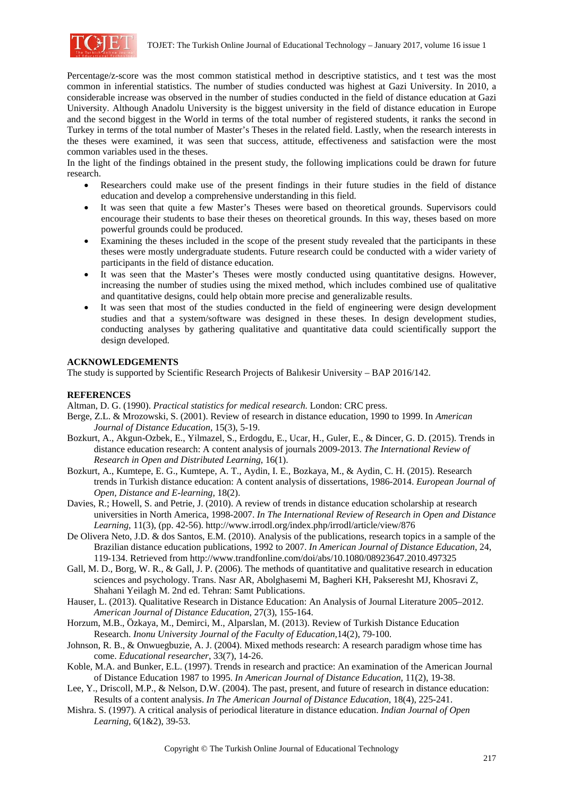

Percentage/z-score was the most common statistical method in descriptive statistics, and t test was the most common in inferential statistics. The number of studies conducted was highest at Gazi University. In 2010, a considerable increase was observed in the number of studies conducted in the field of distance education at Gazi University. Although Anadolu University is the biggest university in the field of distance education in Europe and the second biggest in the World in terms of the total number of registered students, it ranks the second in Turkey in terms of the total number of Master's Theses in the related field. Lastly, when the research interests in the theses were examined, it was seen that success, attitude, effectiveness and satisfaction were the most common variables used in the theses.

In the light of the findings obtained in the present study, the following implications could be drawn for future research.

- Researchers could make use of the present findings in their future studies in the field of distance education and develop a comprehensive understanding in this field.
- It was seen that quite a few Master's Theses were based on theoretical grounds. Supervisors could encourage their students to base their theses on theoretical grounds. In this way, theses based on more powerful grounds could be produced.
- Examining the theses included in the scope of the present study revealed that the participants in these theses were mostly undergraduate students. Future research could be conducted with a wider variety of participants in the field of distance education.
- It was seen that the Master's Theses were mostly conducted using quantitative designs. However, increasing the number of studies using the mixed method, which includes combined use of qualitative and quantitative designs, could help obtain more precise and generalizable results.
- It was seen that most of the studies conducted in the field of engineering were design development studies and that a system/software was designed in these theses. In design development studies, conducting analyses by gathering qualitative and quantitative data could scientifically support the design developed.

# **ACKNOWLEDGEMENTS**

The study is supported by Scientific Research Projects of Balıkesir University – BAP 2016/142.

# **REFERENCES**

Altman, D. G. (1990). *Practical statistics for medical research.* London: CRC press.

- Berge, Z.L. & Mrozowski, S. (2001). Review of research in distance education, 1990 to 1999. In *American Journal of Distance Education*, 15(3), 5-19.
- Bozkurt, A., Akgun-Ozbek, E., Yilmazel, S., Erdogdu, E., Ucar, H., Guler, E., & Dincer, G. D. (2015). Trends in distance education research: A content analysis of journals 2009-2013. *The International Review of Research in Open and Distributed Learning*, 16(1).
- Bozkurt, A., Kumtepe, E. G., Kumtepe, A. T., Aydin, I. E., Bozkaya, M., & Aydin, C. H. (2015). Research trends in Turkish distance education: A content analysis of dissertations, 1986-2014. *European Journal of Open, Distance and E-learning*, 18(2).
- Davies, R.; Howell, S. and Petrie, J. (2010). A review of trends in distance education scholarship at research universities in North America, 1998-2007. *In The International Review of Research in Open and Distance Learning*, 11(3), (pp. 42-56). http://www.irrodl.org/index.php/irrodl/article/view/876
- De Olivera Neto, J.D. & dos Santos, E.M. (2010). Analysis of the publications, research topics in a sample of the Brazilian distance education publications, 1992 to 2007. *In American Journal of Distance Education*, 24, 119-134. Retrieved from http://www.trandfonline.com/doi/abs/10.1080/08923647.2010.497325
- Gall, M. D., Borg, W. R., & Gall, J. P. (2006). The methods of quantitative and qualitative research in education sciences and psychology. Trans. Nasr AR, Abolghasemi M, Bagheri KH, Pakseresht MJ, Khosravi Z, Shahani Yeilagh M. 2nd ed. Tehran: Samt Publications.
- Hauser, L. (2013). Qualitative Research in Distance Education: An Analysis of Journal Literature 2005–2012. *American Journal of Distance Education*, 27(3), 155-164.
- Horzum, M.B., Özkaya, M., Demirci, M., Alparslan, M. (2013). Review of Turkish Distance Education Research. *Inonu University Journal of the Faculty of Education,*14(2), 79-100.
- Johnson, R. B., & Onwuegbuzie, A. J. (2004). Mixed methods research: A research paradigm whose time has come. *Educational researcher*, 33(7), 14-26.
- Koble, M.A. and Bunker, E.L. (1997). Trends in research and practice: An examination of the American Journal of Distance Education 1987 to 1995. *In American Journal of Distance Education,* 11(2), 19-38.
- Lee, Y., Driscoll, M.P., & Nelson, D.W. (2004). The past, present, and future of research in distance education: Results of a content analysis. *In The American Journal of Distance Education*, 18(4), 225-241.
- Mishra. S. (1997). A critical analysis of periodical literature in distance education. *Indian Journal of Open Learning,* 6(1&2), 39-53.